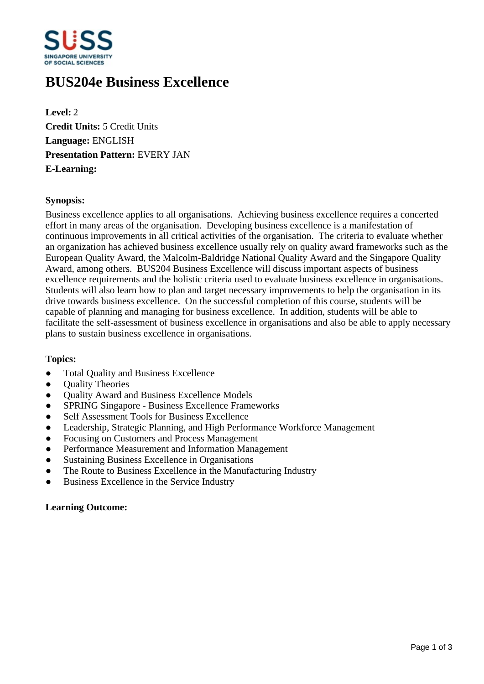

# **BUS204e Business Excellence**

**Level:** 2 **Credit Units:** 5 Credit Units **Language:** ENGLISH **Presentation Pattern:** EVERY JAN **E-Learning:** 

### **Synopsis:**

Business excellence applies to all organisations. Achieving business excellence requires a concerted effort in many areas of the organisation. Developing business excellence is a manifestation of continuous improvements in all critical activities of the organisation. The criteria to evaluate whether an organization has achieved business excellence usually rely on quality award frameworks such as the European Quality Award, the Malcolm-Baldridge National Quality Award and the Singapore Quality Award, among others. BUS204 Business Excellence will discuss important aspects of business excellence requirements and the holistic criteria used to evaluate business excellence in organisations. Students will also learn how to plan and target necessary improvements to help the organisation in its drive towards business excellence. On the successful completion of this course, students will be capable of planning and managing for business excellence. In addition, students will be able to facilitate the self-assessment of business excellence in organisations and also be able to apply necessary plans to sustain business excellence in organisations.

### **Topics:**

- Total Quality and Business Excellence
- **Ouality Theories**
- Quality Award and Business Excellence Models
- SPRING Singapore Business Excellence Frameworks
- Self Assessment Tools for Business Excellence
- Leadership, Strategic Planning, and High Performance Workforce Management
- Focusing on Customers and Process Management
- Performance Measurement and Information Management
- Sustaining Business Excellence in Organisations
- The Route to Business Excellence in the Manufacturing Industry
- Business Excellence in the Service Industry

### **Learning Outcome:**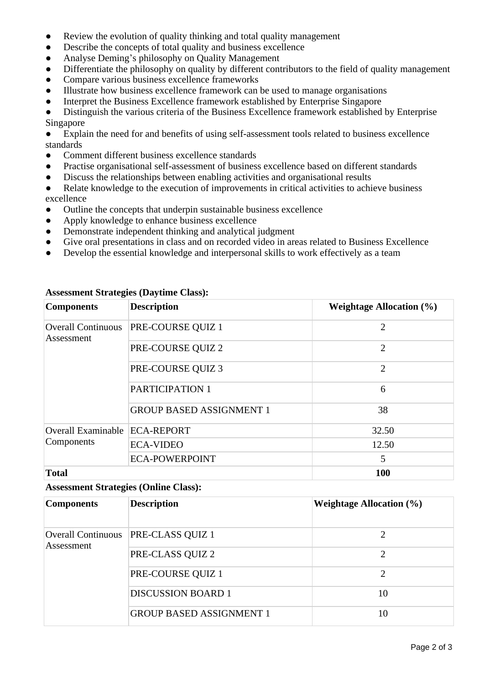- Review the evolution of quality thinking and total quality management
- Describe the concepts of total quality and business excellence
- Analyse Deming's philosophy on Quality Management
- Differentiate the philosophy on quality by different contributors to the field of quality management
- Compare various business excellence frameworks
- ƔIllustrate how business excellence framework can be used to manage organisations
- Interpret the Business Excellence framework established by Enterprise Singapore

• Distinguish the various criteria of the Business Excellence framework established by Enterprise Singapore

• Explain the need for and benefits of using self-assessment tools related to business excellence standards

- ƔComment different business excellence standards
- Practise organisational self-assessment of business excellence based on different standards
- Discuss the relationships between enabling activities and organisational results
- Relate knowledge to the execution of improvements in critical activities to achieve business excellence
- Outline the concepts that underpin sustainable business excellence
- Apply knowledge to enhance business excellence
- Demonstrate independent thinking and analytical judgment
- Give oral presentations in class and on recorded video in areas related to Business Excellence
- Develop the essential knowledge and interpersonal skills to work effectively as a team

| <b>Components</b>                       | <b>Description</b>              | Weightage Allocation $(\% )$ |
|-----------------------------------------|---------------------------------|------------------------------|
| <b>Overall Continuous</b><br>Assessment | PRE-COURSE QUIZ 1               | $\overline{2}$               |
|                                         | PRE-COURSE QUIZ 2               | $\overline{2}$               |
|                                         | PRE-COURSE QUIZ 3               | $\overline{2}$               |
|                                         | PARTICIPATION 1                 | 6                            |
|                                         | <b>GROUP BASED ASSIGNMENT 1</b> | 38                           |
| <b>Overall Examinable</b><br>Components | <b>ECA-REPORT</b>               | 32.50                        |
|                                         | <b>ECA-VIDEO</b>                | 12.50                        |
|                                         | <b>ECA-POWERPOINT</b>           | 5                            |
| <b>Total</b>                            |                                 | 100                          |

# **Assessment Strategies (Daytime Class):**

# **Assessment Strategies (Online Class):**

| <b>Components</b>                       | <b>Description</b>              | <b>Weightage Allocation</b> $(\%)$ |
|-----------------------------------------|---------------------------------|------------------------------------|
| <b>Overall Continuous</b><br>Assessment | PRE-CLASS QUIZ 1                | 2                                  |
|                                         | PRE-CLASS QUIZ 2                | 2                                  |
|                                         | PRE-COURSE QUIZ 1               | 2                                  |
|                                         | <b>DISCUSSION BOARD 1</b>       | 10                                 |
|                                         | <b>GROUP BASED ASSIGNMENT 1</b> | 10                                 |